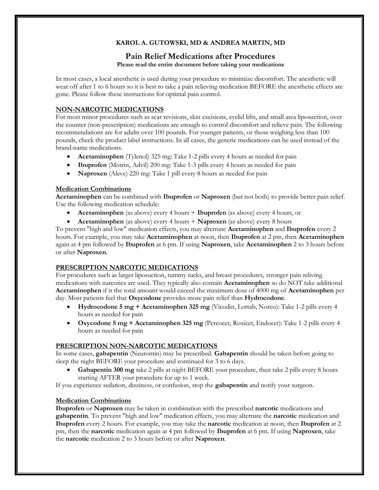# **KAROL A. GUTOWSKI, MD & ANDREA MARTIN, MD**

#### **Pain Relief Medications after Procedures Please read the entire document before taking your medications**

In most cases, a local anesthetic is used during your procedure to minimize discomfort. The anesthetic will wear off after 1 to 6 hours so it is best to take a pain relieving medication BEFORE the anesthetic effects are gone. Please follow these instructions for optimal pain control.

## **NON-NARCOTIC MEDICATIONS**

For most minor procedures such as scar revisions, skin excisions, eyelid lifts, and small area liposuction, over the counter (non-prescription) medications are enough to control discomfort and relieve pain. The following recommendations are for adults over 100 pounds. For younger patients, or those weighing less than 100 pounds, check the product label instructions. In all cases, the generic medications can be used instead of the brand-name medications.

- **Acetaminophen** (Tylenol) 325 mg: Take 1-2 pills every 4 hours as needed for pain
- **Ibuprofen** (Motrin, Advil) 200 mg: Take 1-3 pills every 4 hours as needed for pain
- **Naproxen** (Aleve) 220 mg: Take 1 pill every 8 hours as needed for pain

#### **Medication Combinations**

**Acetaminophen** can be combined with **Ibuprofen** or **Naproxen** (but not both) to provide better pain relief. Use the following medication schedule:

- **Acetaminophen** (as above) every 4 hours + **Ibuprofen** (as above) every 4 hours, or
- **Acetaminophen** (as above) every 4 hours + **Naproxen** (as above) every 8 hours

To prevent "high and low" medication effects, you may alternate **Acetaminophen** and **Ibuprofen** every 2 hours. For example, you may take **Acetaminophen** at noon, then **Ibuprofen** at 2 pm, then **Acetaminophen**  again at 4 pm followed by **Ibuprofen** at 6 pm. If using **Naproxen**, take **Acetaminophen** 2 to 3 hours before or after **Naproxen**.

#### **PRESCRIPTION NARCOTIC MEDICATIONS**

For procedures such as larger liposuction, tummy tucks, and breast procedures, stronger pain reliving medications with narcotics are used. They typically also contain **Acetaminophen** so do NOT take additional **Acetaminophen** if it the total amount would exceed the maximum dose of 4000 mg of **Acetaminophen** per day. Most patients feel that **Oxycodone** provides more pain relief than **Hydrocodone**.

- **Hydrocodone 5 mg + Acetaminophen 325 mg** (Vicodin, Lortab, Norco): Take 1-2 pills every 4 hours as needed for pain
- **Oxycodone 5 mg + Acetaminophen 325 mg** (Percocet, Roxicet, Endocet): Take 1-2 pills every 4 hours as needed for pain

#### **PRESCRIPTION NON-NARCOTIC MEDICATIONS**

In some cases, **gabapentin** (Neurontin) may be prescribed. **Gabapentin** should be taken before going to sleep the night BEFORE your procedure and continued for 3 to 6 days.

• **Gabapentin 300 mg** take 2 pills at night BEFORE your procedure, then take 2 pills every 8 hours starting AFTER your procedure for up to 1 week.

If you experience sedation, dizziness, or confusion, stop the **gabapentin** and notify your surgeon.

#### **Medication Combinations**

**Ibuprofen** or **Naproxen** may be taken in combination with the prescribed **narcotic** medications and **gabapentin**. To prevent "high and low" medication effects, you may alternate the **narcotic** medication and **Ibuprofen** every 2 hours. For example, you may take the **narcotic** medication at noon, then **Ibuprofen** at 2 pm, then the **narcotic** medication again at 4 pm followed by **Ibuprofen** at 6 pm. If using **Naproxen**, take the **narcotic** medication 2 to 3 hours before or after **Naproxen**.